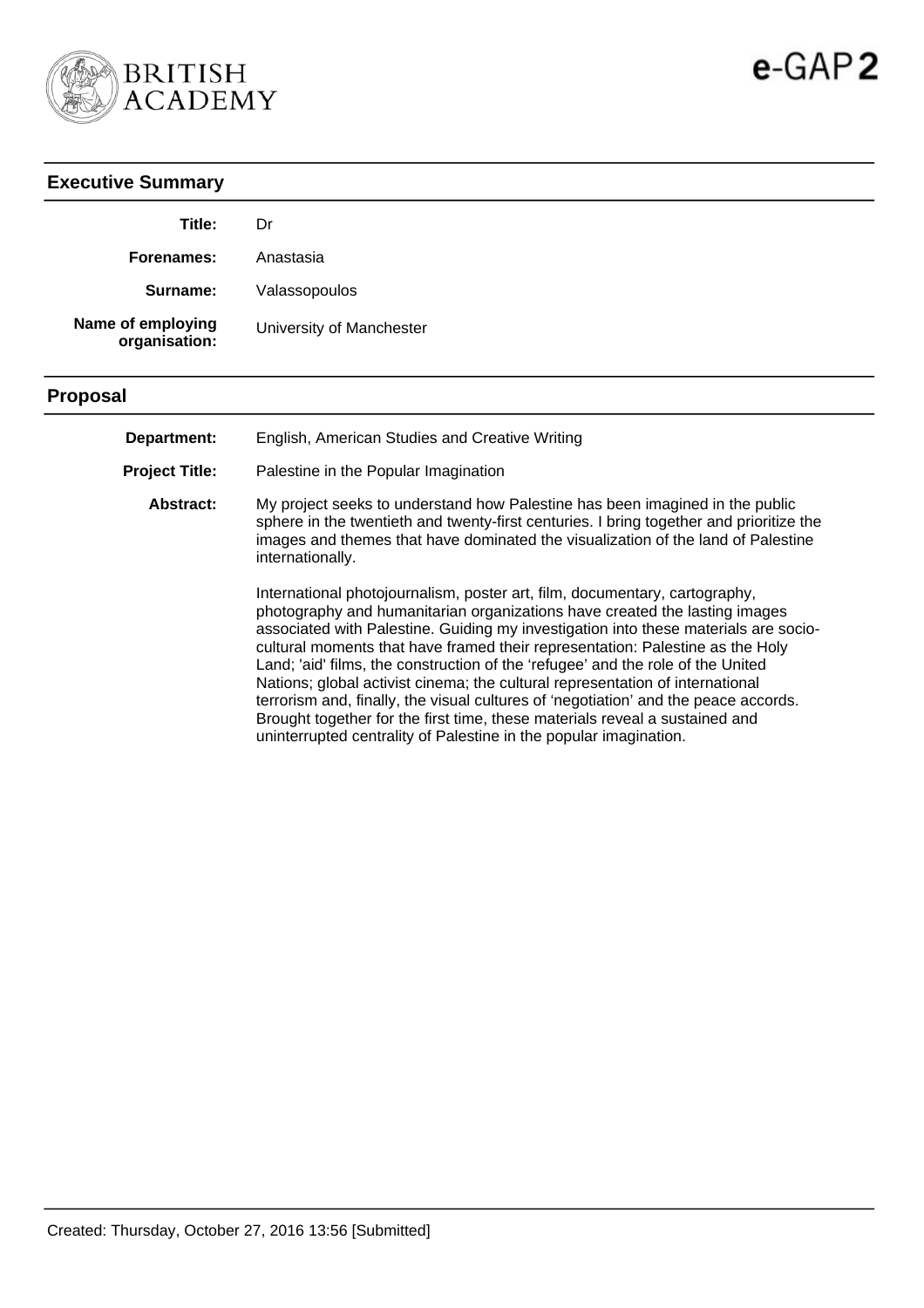

| <b>Executive Summary</b>           |                                                                                                                                                                                                                                                                                                                                                                                                                                                                                                                                                                                                                                                                                                                                                 |
|------------------------------------|-------------------------------------------------------------------------------------------------------------------------------------------------------------------------------------------------------------------------------------------------------------------------------------------------------------------------------------------------------------------------------------------------------------------------------------------------------------------------------------------------------------------------------------------------------------------------------------------------------------------------------------------------------------------------------------------------------------------------------------------------|
| Title:                             | Dr                                                                                                                                                                                                                                                                                                                                                                                                                                                                                                                                                                                                                                                                                                                                              |
| Forenames:                         | Anastasia                                                                                                                                                                                                                                                                                                                                                                                                                                                                                                                                                                                                                                                                                                                                       |
| Surname:                           | Valassopoulos                                                                                                                                                                                                                                                                                                                                                                                                                                                                                                                                                                                                                                                                                                                                   |
| Name of employing<br>organisation: | University of Manchester                                                                                                                                                                                                                                                                                                                                                                                                                                                                                                                                                                                                                                                                                                                        |
| <b>Proposal</b>                    |                                                                                                                                                                                                                                                                                                                                                                                                                                                                                                                                                                                                                                                                                                                                                 |
| Department:                        | English, American Studies and Creative Writing                                                                                                                                                                                                                                                                                                                                                                                                                                                                                                                                                                                                                                                                                                  |
| <b>Project Title:</b>              | Palestine in the Popular Imagination                                                                                                                                                                                                                                                                                                                                                                                                                                                                                                                                                                                                                                                                                                            |
| Abstract:                          | My project seeks to understand how Palestine has been imagined in the public<br>sphere in the twentieth and twenty-first centuries. I bring together and prioritize the<br>images and themes that have dominated the visualization of the land of Palestine<br>internationally.                                                                                                                                                                                                                                                                                                                                                                                                                                                                 |
|                                    | International photojournalism, poster art, film, documentary, cartography,<br>photography and humanitarian organizations have created the lasting images<br>associated with Palestine. Guiding my investigation into these materials are socio-<br>cultural moments that have framed their representation: Palestine as the Holy<br>Land; 'aid' films, the construction of the 'refugee' and the role of the United<br>Nations; global activist cinema; the cultural representation of international<br>terrorism and, finally, the visual cultures of 'negotiation' and the peace accords.<br>Brought together for the first time, these materials reveal a sustained and<br>uninterrupted centrality of Palestine in the popular imagination. |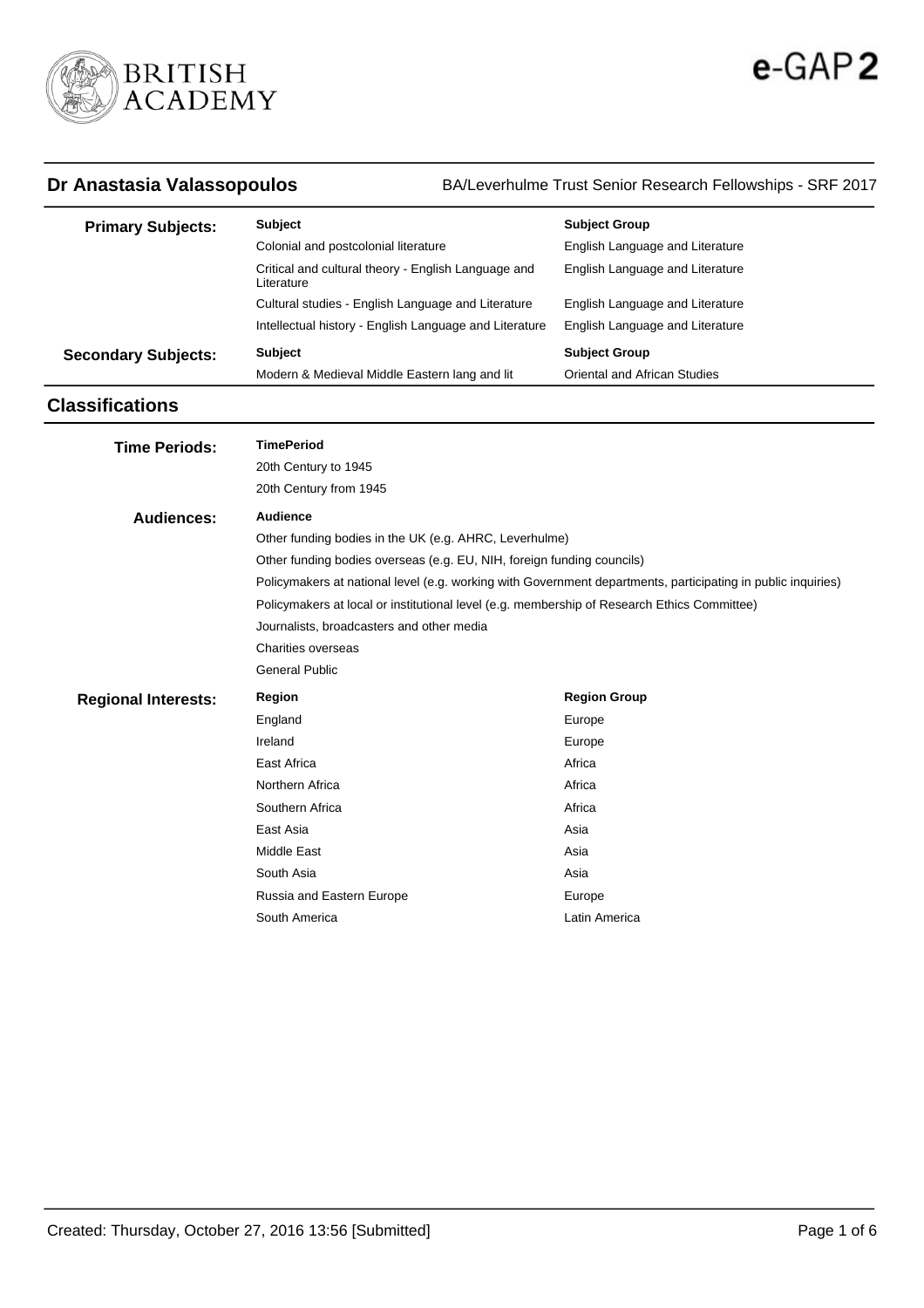

**Dr Anastasia Valassopoulos** BA/Leverhulme Trust Senior Research Fellowships - SRF 2017

| <b>Primary Subjects:</b>   | <b>Subject</b>                                                    | <b>Subject Group</b>            |
|----------------------------|-------------------------------------------------------------------|---------------------------------|
|                            | Colonial and postcolonial literature                              | English Language and Literature |
|                            | Critical and cultural theory - English Language and<br>Literature | English Language and Literature |
|                            | Cultural studies - English Language and Literature                | English Language and Literature |
|                            | Intellectual history - English Language and Literature            | English Language and Literature |
| <b>Secondary Subjects:</b> | <b>Subject</b>                                                    | <b>Subject Group</b>            |
|                            | Modern & Medieval Middle Eastern lang and lit                     | Oriental and African Studies    |

# **Classifications**

| <b>TimePeriod</b><br><b>Time Periods:</b>                                                                    |  |
|--------------------------------------------------------------------------------------------------------------|--|
| 20th Century to 1945                                                                                         |  |
| 20th Century from 1945                                                                                       |  |
| Audience<br>Audiences:                                                                                       |  |
| Other funding bodies in the UK (e.g. AHRC, Leverhulme)                                                       |  |
| Other funding bodies overseas (e.g. EU, NIH, foreign funding councils)                                       |  |
| Policymakers at national level (e.g. working with Government departments, participating in public inquiries) |  |
| Policymakers at local or institutional level (e.g. membership of Research Ethics Committee)                  |  |
| Journalists, broadcasters and other media                                                                    |  |
| Charities overseas                                                                                           |  |
|                                                                                                              |  |
| <b>General Public</b>                                                                                        |  |
| <b>Region Group</b><br>Region<br><b>Regional Interests:</b>                                                  |  |
| England<br>Europe                                                                                            |  |
| Ireland<br>Europe                                                                                            |  |
| East Africa<br>Africa                                                                                        |  |
| Northern Africa<br>Africa                                                                                    |  |
| Southern Africa<br>Africa                                                                                    |  |
| East Asia<br>Asia                                                                                            |  |
| <b>Middle East</b><br>Asia                                                                                   |  |
| South Asia<br>Asia                                                                                           |  |
| Russia and Eastern Europe<br>Europe                                                                          |  |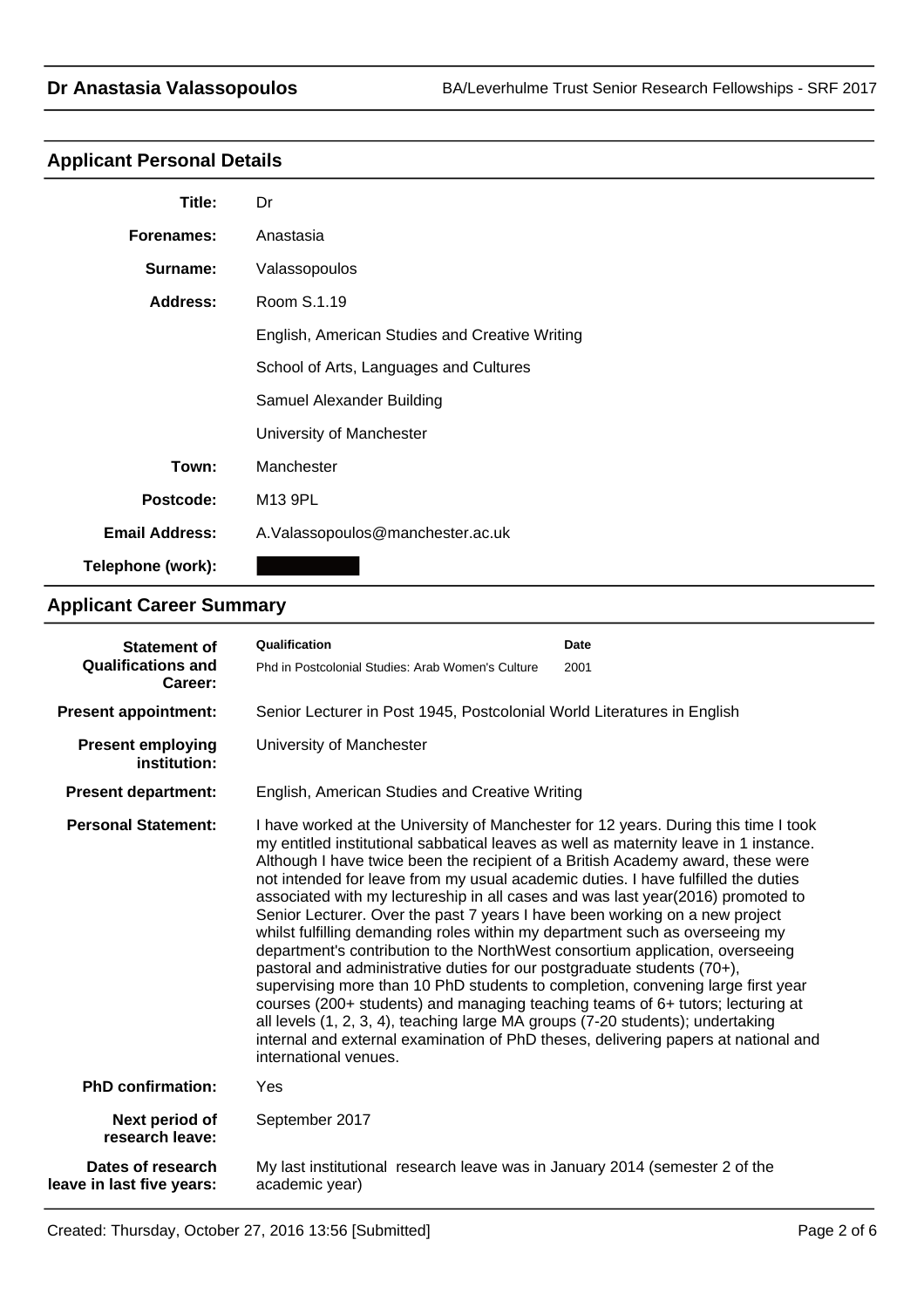# **Applicant Personal Details**

| Title:                | Dr                                             |
|-----------------------|------------------------------------------------|
| Forenames:            | Anastasia                                      |
| Surname:              | Valassopoulos                                  |
| Address:              | Room S.1.19                                    |
|                       | English, American Studies and Creative Writing |
|                       | School of Arts, Languages and Cultures         |
|                       | Samuel Alexander Building                      |
|                       | University of Manchester                       |
| Town:                 | Manchester                                     |
| Postcode:             | M13 9PL                                        |
| <b>Email Address:</b> | A. Valassopoulos@manchester.ac.uk              |
| Telephone (work):     |                                                |

# **Applicant Career Summary**

| <b>Statement of</b>                            | Qualification                                                                                                                                                                                                                                                                                                                                                                                                                                                                                                                                                                                                                                                                                                                                                                                                                                                                                                                                                                                                                                                                                                                            | Date |
|------------------------------------------------|------------------------------------------------------------------------------------------------------------------------------------------------------------------------------------------------------------------------------------------------------------------------------------------------------------------------------------------------------------------------------------------------------------------------------------------------------------------------------------------------------------------------------------------------------------------------------------------------------------------------------------------------------------------------------------------------------------------------------------------------------------------------------------------------------------------------------------------------------------------------------------------------------------------------------------------------------------------------------------------------------------------------------------------------------------------------------------------------------------------------------------------|------|
| <b>Qualifications and</b><br>Career:           | Phd in Postcolonial Studies: Arab Women's Culture                                                                                                                                                                                                                                                                                                                                                                                                                                                                                                                                                                                                                                                                                                                                                                                                                                                                                                                                                                                                                                                                                        | 2001 |
| <b>Present appointment:</b>                    | Senior Lecturer in Post 1945, Postcolonial World Literatures in English                                                                                                                                                                                                                                                                                                                                                                                                                                                                                                                                                                                                                                                                                                                                                                                                                                                                                                                                                                                                                                                                  |      |
| <b>Present employing</b><br>institution:       | University of Manchester                                                                                                                                                                                                                                                                                                                                                                                                                                                                                                                                                                                                                                                                                                                                                                                                                                                                                                                                                                                                                                                                                                                 |      |
| <b>Present department:</b>                     | English, American Studies and Creative Writing                                                                                                                                                                                                                                                                                                                                                                                                                                                                                                                                                                                                                                                                                                                                                                                                                                                                                                                                                                                                                                                                                           |      |
| <b>Personal Statement:</b>                     | I have worked at the University of Manchester for 12 years. During this time I took<br>my entitled institutional sabbatical leaves as well as maternity leave in 1 instance.<br>Although I have twice been the recipient of a British Academy award, these were<br>not intended for leave from my usual academic duties. I have fulfilled the duties<br>associated with my lectureship in all cases and was last year(2016) promoted to<br>Senior Lecturer. Over the past 7 years I have been working on a new project<br>whilst fulfilling demanding roles within my department such as overseeing my<br>department's contribution to the NorthWest consortium application, overseeing<br>pastoral and administrative duties for our postgraduate students (70+),<br>supervising more than 10 PhD students to completion, convening large first year<br>courses (200+ students) and managing teaching teams of 6+ tutors; lecturing at<br>all levels (1, 2, 3, 4), teaching large MA groups (7-20 students); undertaking<br>internal and external examination of PhD theses, delivering papers at national and<br>international venues. |      |
| <b>PhD confirmation:</b>                       | Yes                                                                                                                                                                                                                                                                                                                                                                                                                                                                                                                                                                                                                                                                                                                                                                                                                                                                                                                                                                                                                                                                                                                                      |      |
| Next period of<br>research leave:              | September 2017                                                                                                                                                                                                                                                                                                                                                                                                                                                                                                                                                                                                                                                                                                                                                                                                                                                                                                                                                                                                                                                                                                                           |      |
| Dates of research<br>leave in last five years: | My last institutional research leave was in January 2014 (semester 2 of the<br>academic year)                                                                                                                                                                                                                                                                                                                                                                                                                                                                                                                                                                                                                                                                                                                                                                                                                                                                                                                                                                                                                                            |      |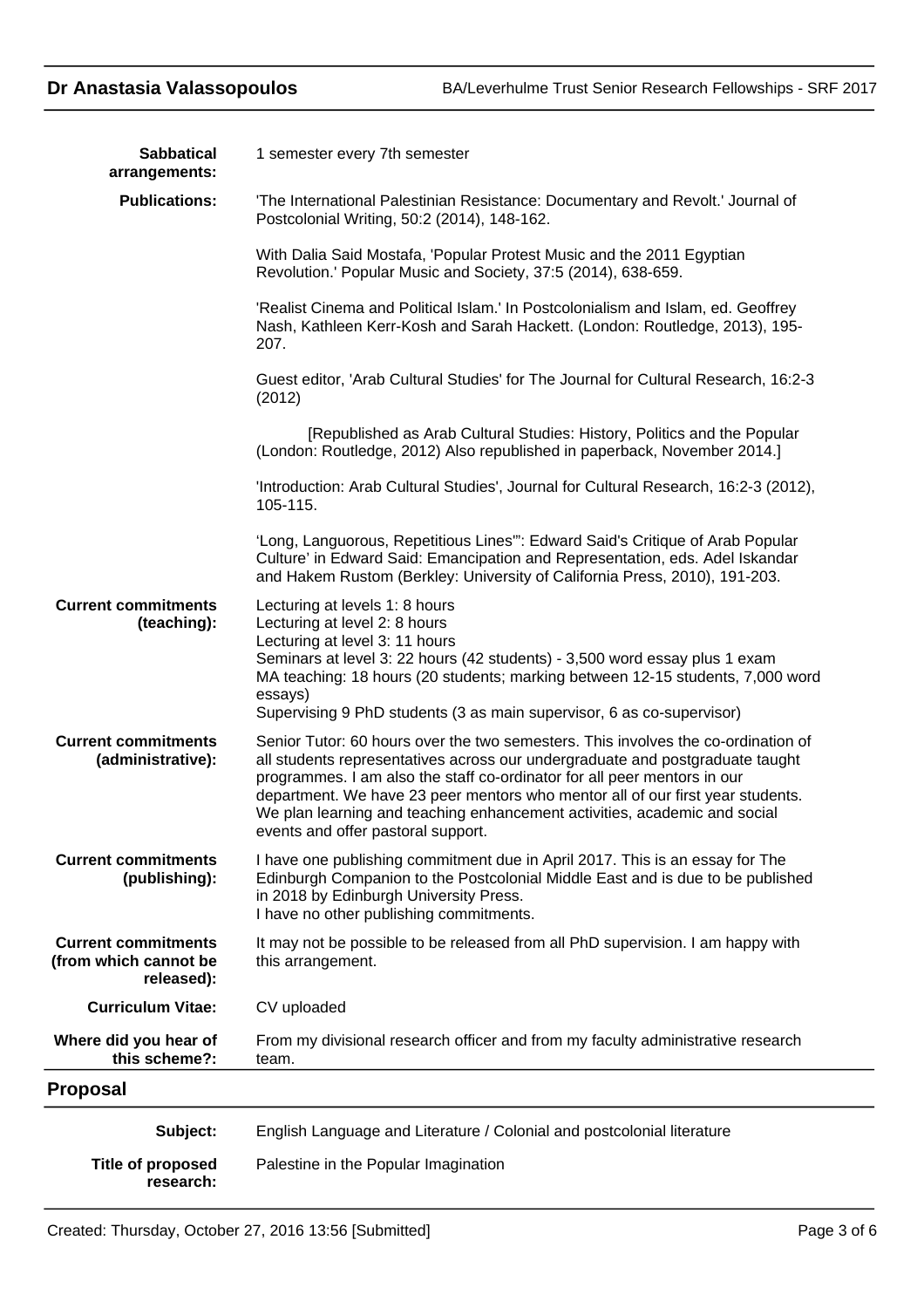| <b>Sabbatical</b>                                                 | 1 semester every 7th semester                                                                                                                                                                                                                                                                                                                                                                                                                       |
|-------------------------------------------------------------------|-----------------------------------------------------------------------------------------------------------------------------------------------------------------------------------------------------------------------------------------------------------------------------------------------------------------------------------------------------------------------------------------------------------------------------------------------------|
| arrangements:                                                     |                                                                                                                                                                                                                                                                                                                                                                                                                                                     |
| <b>Publications:</b>                                              | 'The International Palestinian Resistance: Documentary and Revolt.' Journal of<br>Postcolonial Writing, 50:2 (2014), 148-162.                                                                                                                                                                                                                                                                                                                       |
|                                                                   | With Dalia Said Mostafa, 'Popular Protest Music and the 2011 Egyptian<br>Revolution.' Popular Music and Society, 37:5 (2014), 638-659.                                                                                                                                                                                                                                                                                                              |
|                                                                   | 'Realist Cinema and Political Islam.' In Postcolonialism and Islam, ed. Geoffrey<br>Nash, Kathleen Kerr-Kosh and Sarah Hackett. (London: Routledge, 2013), 195-<br>207.                                                                                                                                                                                                                                                                             |
|                                                                   | Guest editor, 'Arab Cultural Studies' for The Journal for Cultural Research, 16:2-3<br>(2012)                                                                                                                                                                                                                                                                                                                                                       |
|                                                                   | [Republished as Arab Cultural Studies: History, Politics and the Popular<br>(London: Routledge, 2012) Also republished in paperback, November 2014.]                                                                                                                                                                                                                                                                                                |
|                                                                   | 'Introduction: Arab Cultural Studies', Journal for Cultural Research, 16:2-3 (2012),<br>105-115.                                                                                                                                                                                                                                                                                                                                                    |
|                                                                   | 'Long, Languorous, Repetitious Lines": Edward Said's Critique of Arab Popular<br>Culture' in Edward Said: Emancipation and Representation, eds. Adel Iskandar<br>and Hakem Rustom (Berkley: University of California Press, 2010), 191-203.                                                                                                                                                                                                         |
| <b>Current commitments</b><br>(teaching):                         | Lecturing at levels 1: 8 hours<br>Lecturing at level 2: 8 hours<br>Lecturing at level 3: 11 hours<br>Seminars at level 3: 22 hours (42 students) - 3,500 word essay plus 1 exam<br>MA teaching: 18 hours (20 students; marking between 12-15 students, 7,000 word<br>essays)                                                                                                                                                                        |
|                                                                   | Supervising 9 PhD students (3 as main supervisor, 6 as co-supervisor)                                                                                                                                                                                                                                                                                                                                                                               |
| <b>Current commitments</b><br>(administrative):                   | Senior Tutor: 60 hours over the two semesters. This involves the co-ordination of<br>all students representatives across our undergraduate and postgraduate taught<br>programmes. I am also the staff co-ordinator for all peer mentors in our<br>department. We have 23 peer mentors who mentor all of our first year students.<br>We plan learning and teaching enhancement activities, academic and social<br>events and offer pastoral support. |
| <b>Current commitments</b><br>(publishing):                       | I have one publishing commitment due in April 2017. This is an essay for The<br>Edinburgh Companion to the Postcolonial Middle East and is due to be published<br>in 2018 by Edinburgh University Press.<br>I have no other publishing commitments.                                                                                                                                                                                                 |
| <b>Current commitments</b><br>(from which cannot be<br>released): | It may not be possible to be released from all PhD supervision. I am happy with<br>this arrangement.                                                                                                                                                                                                                                                                                                                                                |
| <b>Curriculum Vitae:</b>                                          | CV uploaded                                                                                                                                                                                                                                                                                                                                                                                                                                         |
| Where did you hear of<br>this scheme?:                            | From my divisional research officer and from my faculty administrative research<br>team.                                                                                                                                                                                                                                                                                                                                                            |
| Proposal                                                          |                                                                                                                                                                                                                                                                                                                                                                                                                                                     |
| Subject:                                                          | English Language and Literature / Colonial and postcolonial literature                                                                                                                                                                                                                                                                                                                                                                              |

**Title of proposed** Palestine in the Popular Imagination **research:**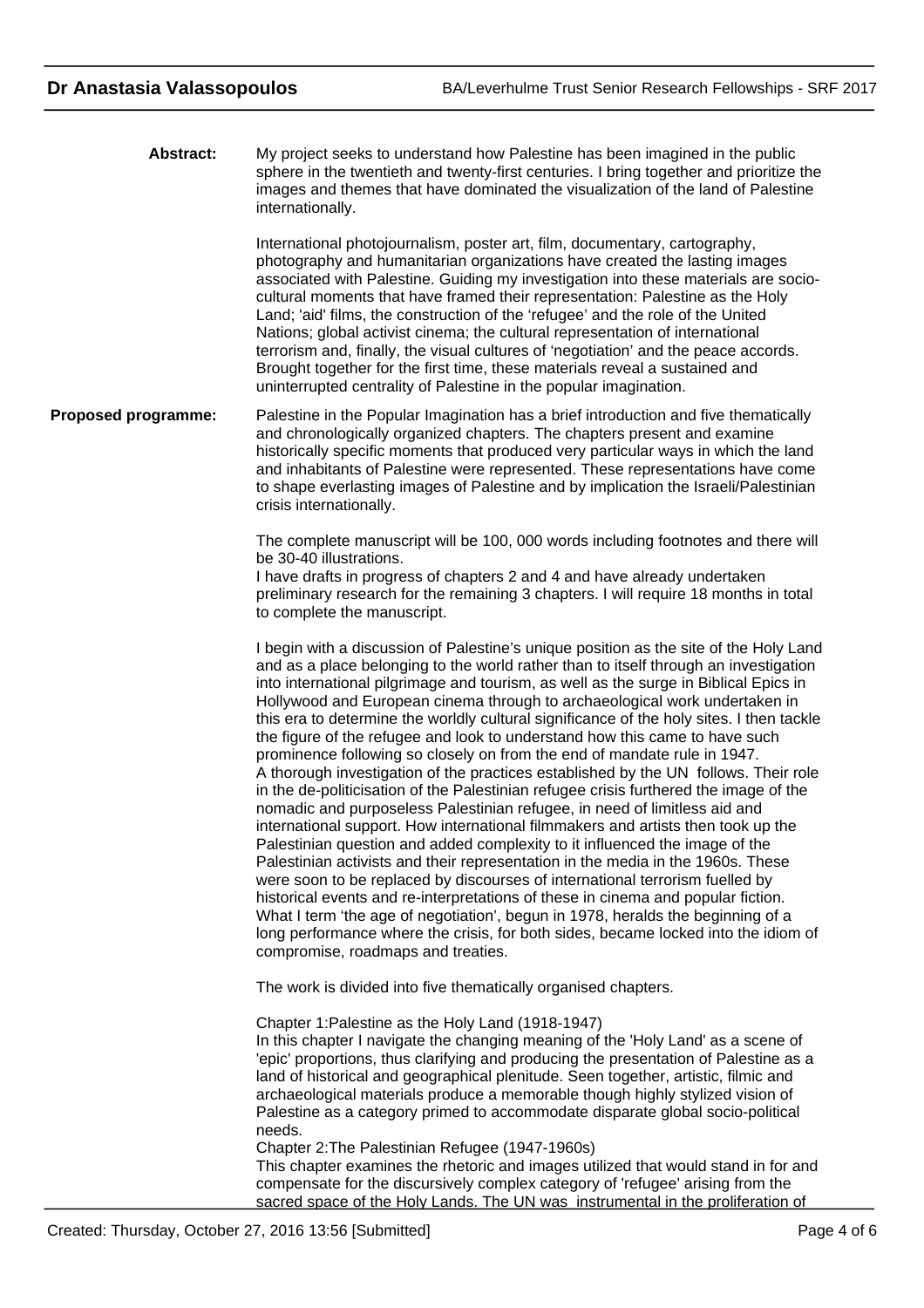My project seeks to understand how Palestine has been imagined in the public sphere in the twentieth and twenty-first centuries. I bring together and prioritize the images and themes that have dominated the visualization of the land of Palestine internationally. **Abstract:**

> International photojournalism, poster art, film, documentary, cartography, photography and humanitarian organizations have created the lasting images associated with Palestine. Guiding my investigation into these materials are sociocultural moments that have framed their representation: Palestine as the Holy Land; 'aid' films, the construction of the 'refugee' and the role of the United Nations; global activist cinema; the cultural representation of international terrorism and, finally, the visual cultures of 'negotiation' and the peace accords. Brought together for the first time, these materials reveal a sustained and uninterrupted centrality of Palestine in the popular imagination.

Palestine in the Popular Imagination has a brief introduction and five thematically and chronologically organized chapters. The chapters present and examine historically specific moments that produced very particular ways in which the land and inhabitants of Palestine were represented. These representations have come to shape everlasting images of Palestine and by implication the Israeli/Palestinian crisis internationally. **Proposed programme:**

> The complete manuscript will be 100, 000 words including footnotes and there will be 30-40 illustrations.

> I have drafts in progress of chapters 2 and 4 and have already undertaken preliminary research for the remaining 3 chapters. I will require 18 months in total to complete the manuscript.

I begin with a discussion of Palestine's unique position as the site of the Holy Land and as a place belonging to the world rather than to itself through an investigation into international pilgrimage and tourism, as well as the surge in Biblical Epics in Hollywood and European cinema through to archaeological work undertaken in this era to determine the worldly cultural significance of the holy sites. I then tackle the figure of the refugee and look to understand how this came to have such prominence following so closely on from the end of mandate rule in 1947. A thorough investigation of the practices established by the UN follows. Their role in the de-politicisation of the Palestinian refugee crisis furthered the image of the nomadic and purposeless Palestinian refugee, in need of limitless aid and international support. How international filmmakers and artists then took up the Palestinian question and added complexity to it influenced the image of the Palestinian activists and their representation in the media in the 1960s. These were soon to be replaced by discourses of international terrorism fuelled by historical events and re-interpretations of these in cinema and popular fiction. What I term 'the age of negotiation', begun in 1978, heralds the beginning of a long performance where the crisis, for both sides, became locked into the idiom of compromise, roadmaps and treaties.

The work is divided into five thematically organised chapters.

Chapter 1:Palestine as the Holy Land (1918-1947) In this chapter I navigate the changing meaning of the 'Holy Land' as a scene of 'epic' proportions, thus clarifying and producing the presentation of Palestine as a land of historical and geographical plenitude. Seen together, artistic, filmic and archaeological materials produce a memorable though highly stylized vision of Palestine as a category primed to accommodate disparate global socio-political needs.

Chapter 2:The Palestinian Refugee (1947-1960s)

This chapter examines the rhetoric and images utilized that would stand in for and compensate for the discursively complex category of 'refugee' arising from the sacred space of the Holy Lands. The UN was instrumental in the proliferation of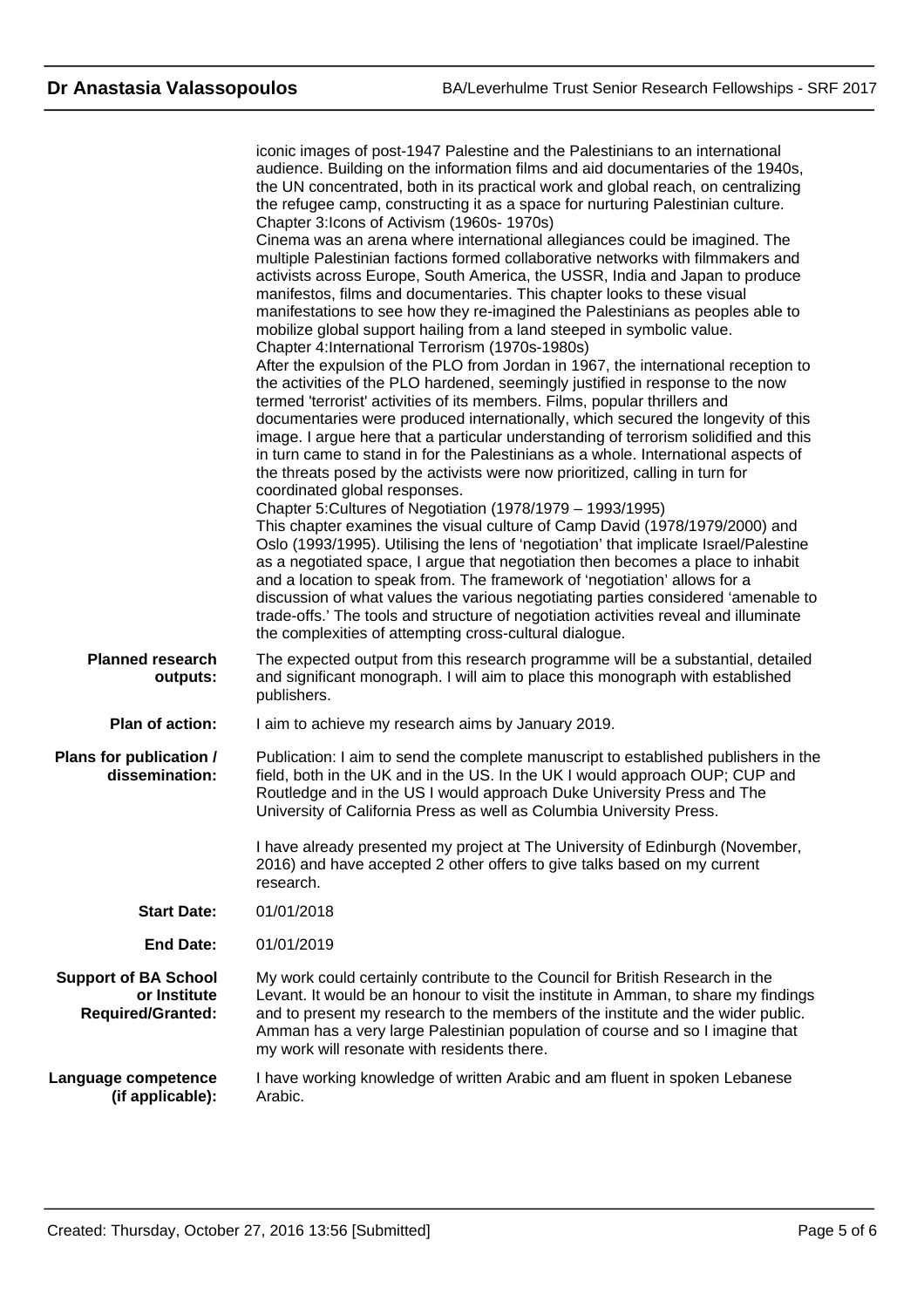|                                                                         | iconic images of post-1947 Palestine and the Palestinians to an international<br>audience. Building on the information films and aid documentaries of the 1940s,<br>the UN concentrated, both in its practical work and global reach, on centralizing<br>the refugee camp, constructing it as a space for nurturing Palestinian culture.<br>Chapter 3: Icons of Activism (1960s-1970s)<br>Cinema was an arena where international allegiances could be imagined. The<br>multiple Palestinian factions formed collaborative networks with filmmakers and<br>activists across Europe, South America, the USSR, India and Japan to produce<br>manifestos, films and documentaries. This chapter looks to these visual<br>manifestations to see how they re-imagined the Palestinians as peoples able to<br>mobilize global support hailing from a land steeped in symbolic value.<br>Chapter 4: International Terrorism (1970s-1980s)<br>After the expulsion of the PLO from Jordan in 1967, the international reception to<br>the activities of the PLO hardened, seemingly justified in response to the now<br>termed 'terrorist' activities of its members. Films, popular thrillers and<br>documentaries were produced internationally, which secured the longevity of this<br>image. I argue here that a particular understanding of terrorism solidified and this<br>in turn came to stand in for the Palestinians as a whole. International aspects of<br>the threats posed by the activists were now prioritized, calling in turn for<br>coordinated global responses.<br>Chapter 5: Cultures of Negotiation (1978/1979 - 1993/1995)<br>This chapter examines the visual culture of Camp David (1978/1979/2000) and<br>Oslo (1993/1995). Utilising the lens of 'negotiation' that implicate Israel/Palestine<br>as a negotiated space, I argue that negotiation then becomes a place to inhabit<br>and a location to speak from. The framework of 'negotiation' allows for a<br>discussion of what values the various negotiating parties considered 'amenable to<br>trade-offs.' The tools and structure of negotiation activities reveal and illuminate<br>the complexities of attempting cross-cultural dialogue. |
|-------------------------------------------------------------------------|---------------------------------------------------------------------------------------------------------------------------------------------------------------------------------------------------------------------------------------------------------------------------------------------------------------------------------------------------------------------------------------------------------------------------------------------------------------------------------------------------------------------------------------------------------------------------------------------------------------------------------------------------------------------------------------------------------------------------------------------------------------------------------------------------------------------------------------------------------------------------------------------------------------------------------------------------------------------------------------------------------------------------------------------------------------------------------------------------------------------------------------------------------------------------------------------------------------------------------------------------------------------------------------------------------------------------------------------------------------------------------------------------------------------------------------------------------------------------------------------------------------------------------------------------------------------------------------------------------------------------------------------------------------------------------------------------------------------------------------------------------------------------------------------------------------------------------------------------------------------------------------------------------------------------------------------------------------------------------------------------------------------------------------------------------------------------------------------------------------------------------------------------------------------------------------------------------------------------|
| <b>Planned research</b><br>outputs:                                     | The expected output from this research programme will be a substantial, detailed<br>and significant monograph. I will aim to place this monograph with established<br>publishers.                                                                                                                                                                                                                                                                                                                                                                                                                                                                                                                                                                                                                                                                                                                                                                                                                                                                                                                                                                                                                                                                                                                                                                                                                                                                                                                                                                                                                                                                                                                                                                                                                                                                                                                                                                                                                                                                                                                                                                                                                                         |
| Plan of action:                                                         | I aim to achieve my research aims by January 2019.                                                                                                                                                                                                                                                                                                                                                                                                                                                                                                                                                                                                                                                                                                                                                                                                                                                                                                                                                                                                                                                                                                                                                                                                                                                                                                                                                                                                                                                                                                                                                                                                                                                                                                                                                                                                                                                                                                                                                                                                                                                                                                                                                                        |
| Plans for publication /<br>dissemination:                               | Publication: I aim to send the complete manuscript to established publishers in the<br>field, both in the UK and in the US. In the UK I would approach OUP; CUP and<br>Routledge and in the US I would approach Duke University Press and The<br>University of California Press as well as Columbia University Press.<br>I have already presented my project at The University of Edinburgh (November,                                                                                                                                                                                                                                                                                                                                                                                                                                                                                                                                                                                                                                                                                                                                                                                                                                                                                                                                                                                                                                                                                                                                                                                                                                                                                                                                                                                                                                                                                                                                                                                                                                                                                                                                                                                                                    |
|                                                                         | 2016) and have accepted 2 other offers to give talks based on my current<br>research.                                                                                                                                                                                                                                                                                                                                                                                                                                                                                                                                                                                                                                                                                                                                                                                                                                                                                                                                                                                                                                                                                                                                                                                                                                                                                                                                                                                                                                                                                                                                                                                                                                                                                                                                                                                                                                                                                                                                                                                                                                                                                                                                     |
| <b>Start Date:</b>                                                      | 01/01/2018                                                                                                                                                                                                                                                                                                                                                                                                                                                                                                                                                                                                                                                                                                                                                                                                                                                                                                                                                                                                                                                                                                                                                                                                                                                                                                                                                                                                                                                                                                                                                                                                                                                                                                                                                                                                                                                                                                                                                                                                                                                                                                                                                                                                                |
| <b>End Date:</b>                                                        | 01/01/2019                                                                                                                                                                                                                                                                                                                                                                                                                                                                                                                                                                                                                                                                                                                                                                                                                                                                                                                                                                                                                                                                                                                                                                                                                                                                                                                                                                                                                                                                                                                                                                                                                                                                                                                                                                                                                                                                                                                                                                                                                                                                                                                                                                                                                |
| <b>Support of BA School</b><br>or Institute<br><b>Required/Granted:</b> | My work could certainly contribute to the Council for British Research in the<br>Levant. It would be an honour to visit the institute in Amman, to share my findings<br>and to present my research to the members of the institute and the wider public.<br>Amman has a very large Palestinian population of course and so I imagine that<br>my work will resonate with residents there.                                                                                                                                                                                                                                                                                                                                                                                                                                                                                                                                                                                                                                                                                                                                                                                                                                                                                                                                                                                                                                                                                                                                                                                                                                                                                                                                                                                                                                                                                                                                                                                                                                                                                                                                                                                                                                  |
| Language competence<br>(if applicable):                                 | I have working knowledge of written Arabic and am fluent in spoken Lebanese<br>Arabic.                                                                                                                                                                                                                                                                                                                                                                                                                                                                                                                                                                                                                                                                                                                                                                                                                                                                                                                                                                                                                                                                                                                                                                                                                                                                                                                                                                                                                                                                                                                                                                                                                                                                                                                                                                                                                                                                                                                                                                                                                                                                                                                                    |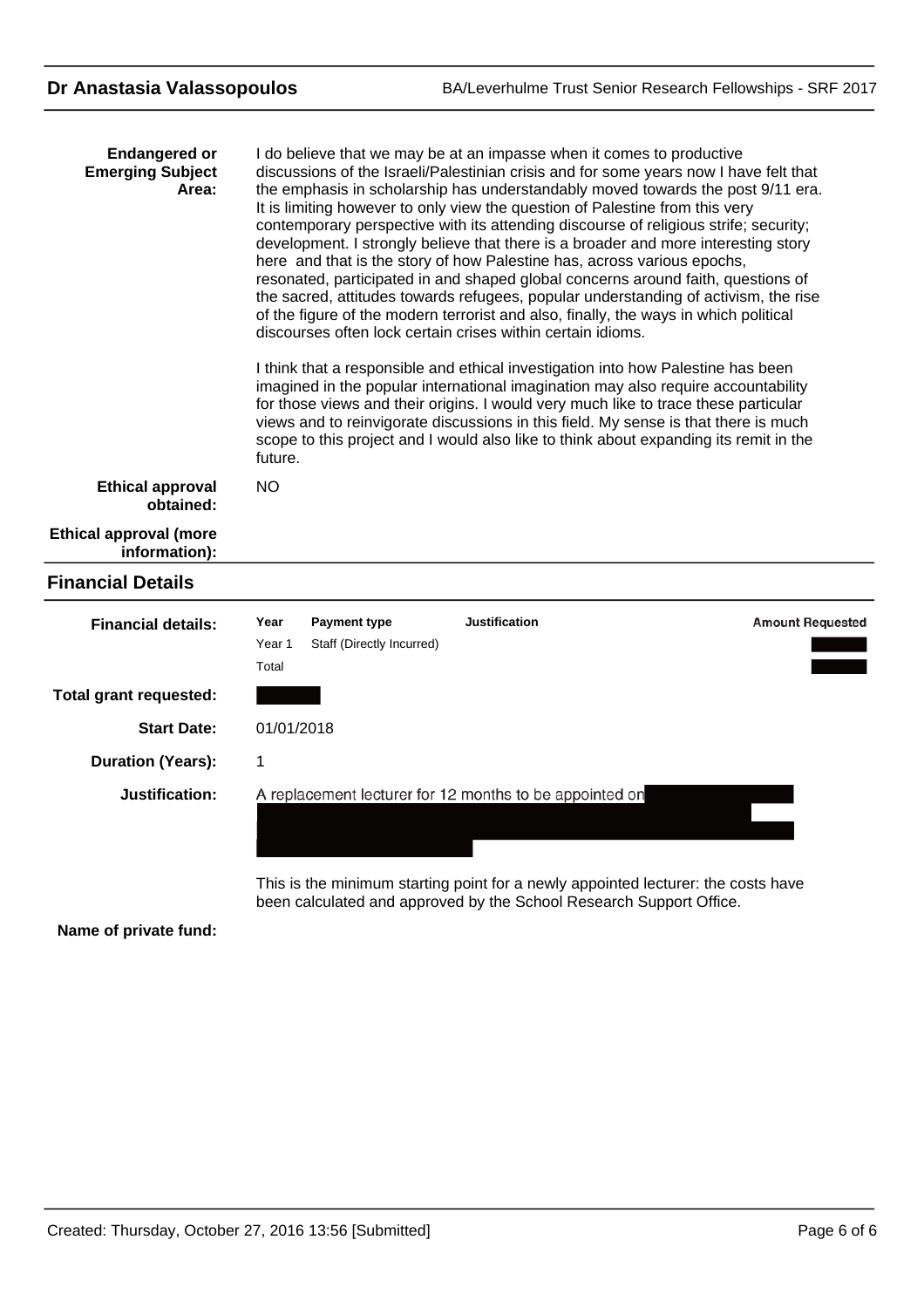| <b>Endangered or</b><br><b>Emerging Subject</b><br>Area: | I do believe that we may be at an impasse when it comes to productive<br>discussions of the Israeli/Palestinian crisis and for some years now I have felt that<br>the emphasis in scholarship has understandably moved towards the post 9/11 era.<br>It is limiting however to only view the question of Palestine from this very<br>contemporary perspective with its attending discourse of religious strife; security;<br>development. I strongly believe that there is a broader and more interesting story<br>here and that is the story of how Palestine has, across various epochs,<br>resonated, participated in and shaped global concerns around faith, questions of<br>the sacred, attitudes towards refugees, popular understanding of activism, the rise<br>of the figure of the modern terrorist and also, finally, the ways in which political<br>discourses often lock certain crises within certain idioms.<br>I think that a responsible and ethical investigation into how Palestine has been<br>imagined in the popular international imagination may also require accountability<br>for those views and their origins. I would very much like to trace these particular<br>views and to reinvigorate discussions in this field. My sense is that there is much<br>scope to this project and I would also like to think about expanding its remit in the<br>future. |
|----------------------------------------------------------|-----------------------------------------------------------------------------------------------------------------------------------------------------------------------------------------------------------------------------------------------------------------------------------------------------------------------------------------------------------------------------------------------------------------------------------------------------------------------------------------------------------------------------------------------------------------------------------------------------------------------------------------------------------------------------------------------------------------------------------------------------------------------------------------------------------------------------------------------------------------------------------------------------------------------------------------------------------------------------------------------------------------------------------------------------------------------------------------------------------------------------------------------------------------------------------------------------------------------------------------------------------------------------------------------------------------------------------------------------------------------------------------|
| <b>Ethical approval</b><br>obtained:                     | <b>NO</b>                                                                                                                                                                                                                                                                                                                                                                                                                                                                                                                                                                                                                                                                                                                                                                                                                                                                                                                                                                                                                                                                                                                                                                                                                                                                                                                                                                               |
| <b>Ethical approval (more</b><br>information):           |                                                                                                                                                                                                                                                                                                                                                                                                                                                                                                                                                                                                                                                                                                                                                                                                                                                                                                                                                                                                                                                                                                                                                                                                                                                                                                                                                                                         |
| <b>Financial Details</b>                                 |                                                                                                                                                                                                                                                                                                                                                                                                                                                                                                                                                                                                                                                                                                                                                                                                                                                                                                                                                                                                                                                                                                                                                                                                                                                                                                                                                                                         |
| <b>Financial details:</b>                                | <b>Justification</b><br><b>Amount Requested</b><br>Year<br><b>Payment type</b><br>Year <sub>1</sub><br>Staff (Directly Incurred)<br>Total                                                                                                                                                                                                                                                                                                                                                                                                                                                                                                                                                                                                                                                                                                                                                                                                                                                                                                                                                                                                                                                                                                                                                                                                                                               |
| <b>Total grant requested:</b>                            |                                                                                                                                                                                                                                                                                                                                                                                                                                                                                                                                                                                                                                                                                                                                                                                                                                                                                                                                                                                                                                                                                                                                                                                                                                                                                                                                                                                         |
| <b>Start Date:</b>                                       | 01/01/2018                                                                                                                                                                                                                                                                                                                                                                                                                                                                                                                                                                                                                                                                                                                                                                                                                                                                                                                                                                                                                                                                                                                                                                                                                                                                                                                                                                              |
| <b>Duration (Years):</b>                                 | 1                                                                                                                                                                                                                                                                                                                                                                                                                                                                                                                                                                                                                                                                                                                                                                                                                                                                                                                                                                                                                                                                                                                                                                                                                                                                                                                                                                                       |
| Justification:                                           | A replacement lecturer for 12 months to be appointed on<br>This is the minimum starting point for a newly appointed lecturer: the costs have<br>been calculated and approved by the School Research Support Office.                                                                                                                                                                                                                                                                                                                                                                                                                                                                                                                                                                                                                                                                                                                                                                                                                                                                                                                                                                                                                                                                                                                                                                     |

**Name of private fund:**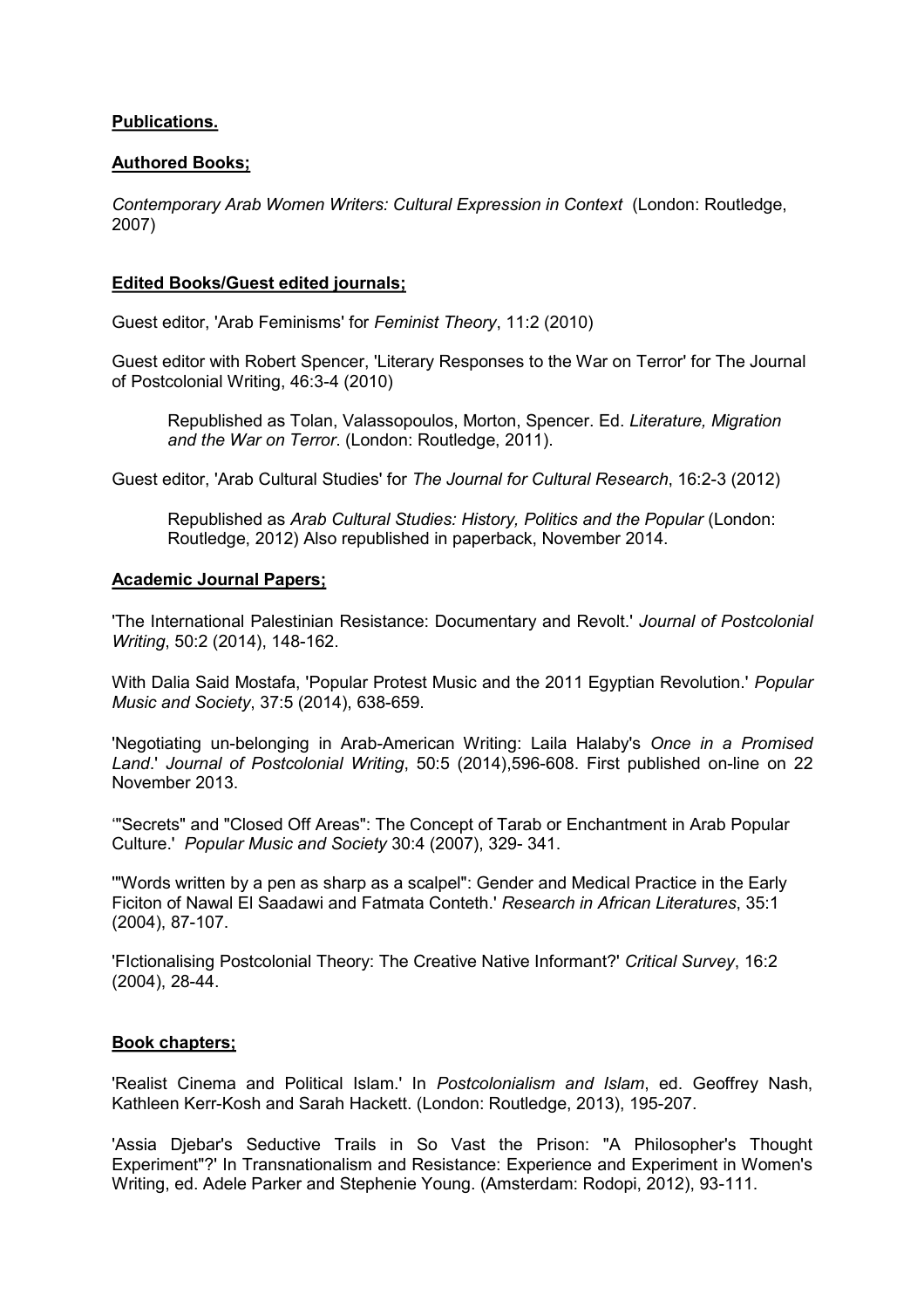## **Publications.**

## **Authored Books;**

*Contemporary Arab Women Writers: Cultural Expression in Context* (London: Routledge, 2007)

## **Edited Books/Guest edited journals;**

Guest editor, 'Arab Feminisms' for *Feminist Theory*, 11:2 (2010)

Guest editor with Robert Spencer, 'Literary Responses to the War on Terror' for The Journal of Postcolonial Writing, 46:3-4 (2010)

Republished as Tolan, Valassopoulos, Morton, Spencer. Ed. *Literature, Migration and the War on Terror*. (London: Routledge, 2011).

Guest editor, 'Arab Cultural Studies' for *The Journal for Cultural Research*, 16:2-3 (2012)

Republished as *Arab Cultural Studies: History, Politics and the Popular* (London: Routledge, 2012) Also republished in paperback, November 2014.

## **Academic Journal Papers;**

'The International Palestinian Resistance: Documentary and Revolt.' *Journal of Postcolonial Writing*, 50:2 (2014), 148-162.

With Dalia Said Mostafa, 'Popular Protest Music and the 2011 Egyptian Revolution.' *Popular Music and Society*, 37:5 (2014), 638-659.

'Negotiating un-belonging in Arab-American Writing: Laila Halaby's *Once in a Promised Land*.' *Journal of Postcolonial Writing*, 50:5 (2014),596-608. First published on-line on 22 November 2013.

'"Secrets" and "Closed Off Areas": The Concept of Tarab or Enchantment in Arab Popular Culture.' *Popular Music and Society* 30:4 (2007), 329- 341.

'"Words written by a pen as sharp as a scalpel": Gender and Medical Practice in the Early Ficiton of Nawal El Saadawi and Fatmata Conteth.' *Research in African Literatures*, 35:1 (2004), 87-107.

'FIctionalising Postcolonial Theory: The Creative Native Informant?' *Critical Survey*, 16:2 (2004), 28-44.

## **Book chapters;**

'Realist Cinema and Political Islam.' In *Postcolonialism and Islam*, ed. Geoffrey Nash, Kathleen Kerr-Kosh and Sarah Hackett. (London: Routledge, 2013), 195-207.

'Assia Djebar's Seductive Trails in So Vast the Prison: "A Philosopher's Thought Experiment"?' In Transnationalism and Resistance: Experience and Experiment in Women's Writing, ed. Adele Parker and Stephenie Young. (Amsterdam: Rodopi, 2012), 93-111.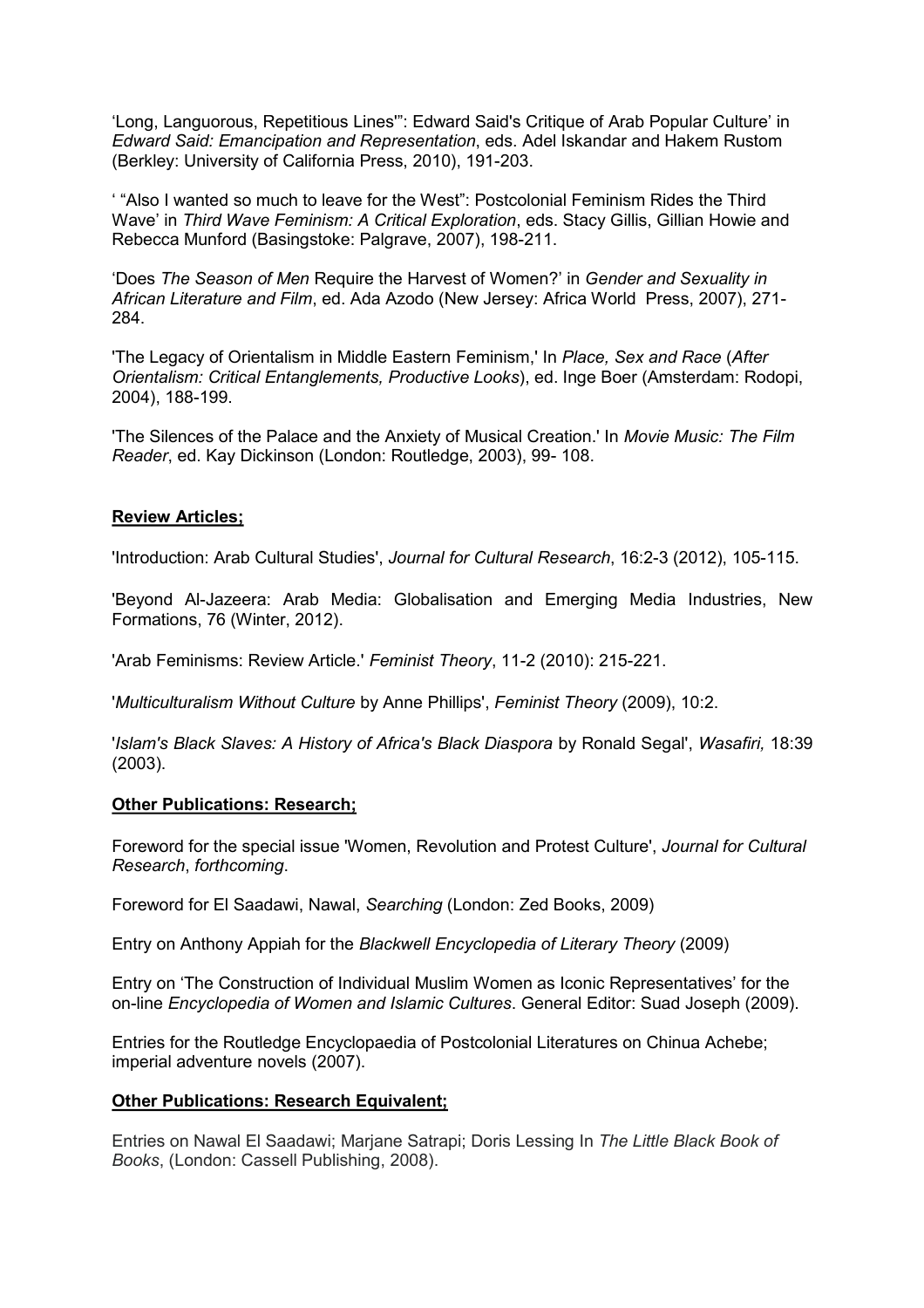'Long, Languorous, Repetitious Lines'": Edward Said's Critique of Arab Popular Culture' in *Edward Said: Emancipation and Representation*, eds. Adel Iskandar and Hakem Rustom (Berkley: University of California Press, 2010), 191-203.

' "Also I wanted so much to leave for the West": Postcolonial Feminism Rides the Third Wave' in *Third Wave Feminism: A Critical Exploration*, eds. Stacy Gillis, Gillian Howie and Rebecca Munford (Basingstoke: Palgrave, 2007), 198-211.

'Does *The Season of Men* Require the Harvest of Women?' in *Gender and Sexuality in African Literature and Film*, ed. Ada Azodo (New Jersey: Africa World Press, 2007), 271- 284.

'The Legacy of Orientalism in Middle Eastern Feminism,' In *Place, Sex and Race* (*After Orientalism: Critical Entanglements, Productive Looks*), ed. Inge Boer (Amsterdam: Rodopi, 2004), 188-199.

'The Silences of the Palace and the Anxiety of Musical Creation.' In *Movie Music: The Film Reader*, ed. Kay Dickinson (London: Routledge, 2003), 99- 108.

#### **Review Articles;**

'Introduction: Arab Cultural Studies', *Journal for Cultural Research*, 16:2-3 (2012), 105-115.

'Beyond Al-Jazeera: Arab Media: Globalisation and Emerging Media Industries, New Formations, 76 (Winter, 2012).

'Arab Feminisms: Review Article.' *Feminist Theory*, 11-2 (2010): 215-221.

'*Multiculturalism Without Culture* by Anne Phillips', *Feminist Theory* (2009), 10:2.

'*Islam's Black Slaves: A History of Africa's Black Diaspora* by Ronald Segal', *Wasafiri,* 18:39 (2003).

#### **Other Publications: Research;**

Foreword for the special issue 'Women, Revolution and Protest Culture', *Journal for Cultural Research*, *forthcoming*.

Foreword for El Saadawi, Nawal, *Searching* (London: Zed Books, 2009)

Entry on Anthony Appiah for the *Blackwell Encyclopedia of Literary Theory* (2009)

Entry on 'The Construction of Individual Muslim Women as Iconic Representatives' for the on-line *Encyclopedia of Women and Islamic Cultures*. General Editor: Suad Joseph (2009).

Entries for the Routledge Encyclopaedia of Postcolonial Literatures on Chinua Achebe; imperial adventure novels (2007).

#### **Other Publications: Research Equivalent;**

Entries on Nawal El Saadawi; Marjane Satrapi; Doris Lessing In *The Little Black Book of Books*, (London: Cassell Publishing, 2008).